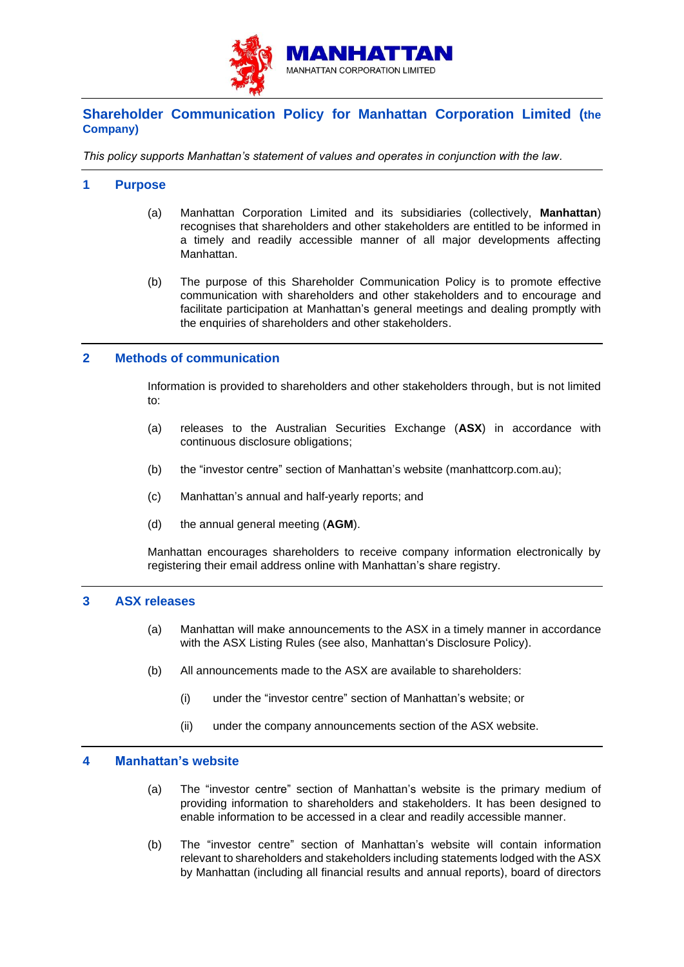

# **Shareholder Communication Policy for Manhattan Corporation Limited (the Company)**

*This policy supports Manhattan's statement of values and operates in conjunction with the law.*

# **1 Purpose**

- (a) Manhattan Corporation Limited and its subsidiaries (collectively, **Manhattan**) recognises that shareholders and other stakeholders are entitled to be informed in a timely and readily accessible manner of all major developments affecting Manhattan.
- (b) The purpose of this Shareholder Communication Policy is to promote effective communication with shareholders and other stakeholders and to encourage and facilitate participation at Manhattan's general meetings and dealing promptly with the enquiries of shareholders and other stakeholders.

# **2 Methods of communication**

Information is provided to shareholders and other stakeholders through, but is not limited to:

- (a) releases to the Australian Securities Exchange (**ASX**) in accordance with continuous disclosure obligations;
- (b) the "investor centre" section of Manhattan's website (manhattcorp.com.au);
- (c) Manhattan's annual and half-yearly reports; and
- (d) the annual general meeting (**AGM**).

Manhattan encourages shareholders to receive company information electronically by registering their email address online with Manhattan's share registry.

## **3 ASX releases**

- (a) Manhattan will make announcements to the ASX in a timely manner in accordance with the ASX Listing Rules (see also, Manhattan's Disclosure Policy).
- (b) All announcements made to the ASX are available to shareholders:
	- (i) under the "investor centre" section of Manhattan's website; or
	- (ii) under the company announcements section of the ASX website.

#### **4 Manhattan's website**

- (a) The "investor centre" section of Manhattan's website is the primary medium of providing information to shareholders and stakeholders. It has been designed to enable information to be accessed in a clear and readily accessible manner.
- (b) The "investor centre" section of Manhattan's website will contain information relevant to shareholders and stakeholders including statements lodged with the ASX by Manhattan (including all financial results and annual reports), board of directors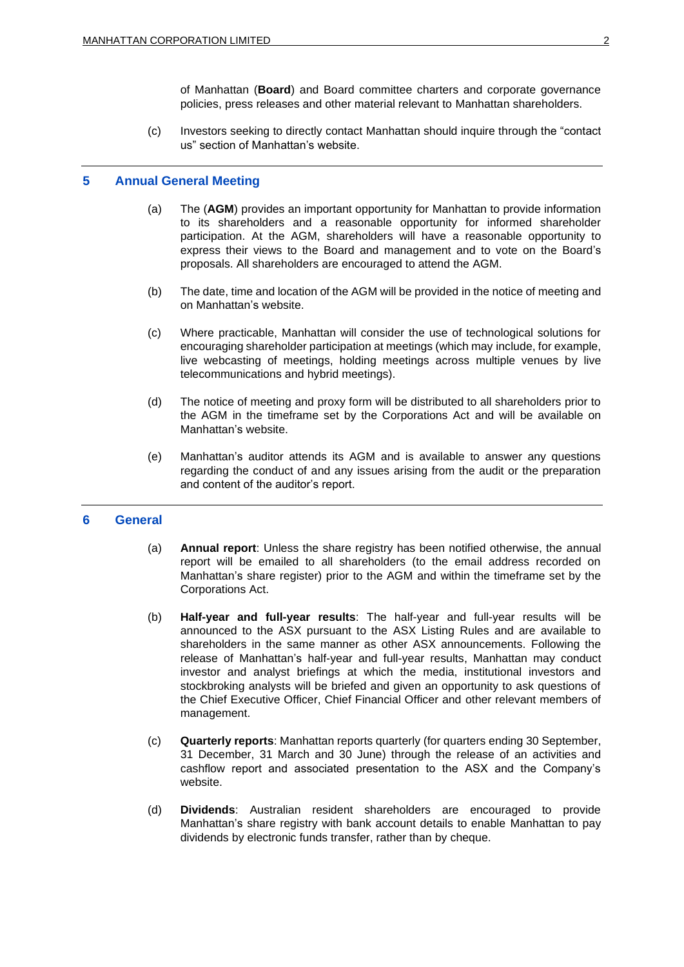of Manhattan (**Board**) and Board committee charters and corporate governance policies, press releases and other material relevant to Manhattan shareholders.

(c) Investors seeking to directly contact Manhattan should inquire through the "contact us" section of Manhattan's website.

#### **5 Annual General Meeting**

- (a) The (**AGM**) provides an important opportunity for Manhattan to provide information to its shareholders and a reasonable opportunity for informed shareholder participation. At the AGM, shareholders will have a reasonable opportunity to express their views to the Board and management and to vote on the Board's proposals. All shareholders are encouraged to attend the AGM.
- (b) The date, time and location of the AGM will be provided in the notice of meeting and on Manhattan's website.
- (c) Where practicable, Manhattan will consider the use of technological solutions for encouraging shareholder participation at meetings (which may include, for example, live webcasting of meetings, holding meetings across multiple venues by live telecommunications and hybrid meetings).
- (d) The notice of meeting and proxy form will be distributed to all shareholders prior to the AGM in the timeframe set by the Corporations Act and will be available on Manhattan's website.
- (e) Manhattan's auditor attends its AGM and is available to answer any questions regarding the conduct of and any issues arising from the audit or the preparation and content of the auditor's report.

### **6 General**

- (a) **Annual report**: Unless the share registry has been notified otherwise, the annual report will be emailed to all shareholders (to the email address recorded on Manhattan's share register) prior to the AGM and within the timeframe set by the Corporations Act.
- (b) **Half-year and full-year results**: The half-year and full-year results will be announced to the ASX pursuant to the ASX Listing Rules and are available to shareholders in the same manner as other ASX announcements. Following the release of Manhattan's half-year and full-year results, Manhattan may conduct investor and analyst briefings at which the media, institutional investors and stockbroking analysts will be briefed and given an opportunity to ask questions of the Chief Executive Officer, Chief Financial Officer and other relevant members of management.
- (c) **Quarterly reports**: Manhattan reports quarterly (for quarters ending 30 September, 31 December, 31 March and 30 June) through the release of an activities and cashflow report and associated presentation to the ASX and the Company's website.
- (d) **Dividends**: Australian resident shareholders are encouraged to provide Manhattan's share registry with bank account details to enable Manhattan to pay dividends by electronic funds transfer, rather than by cheque.